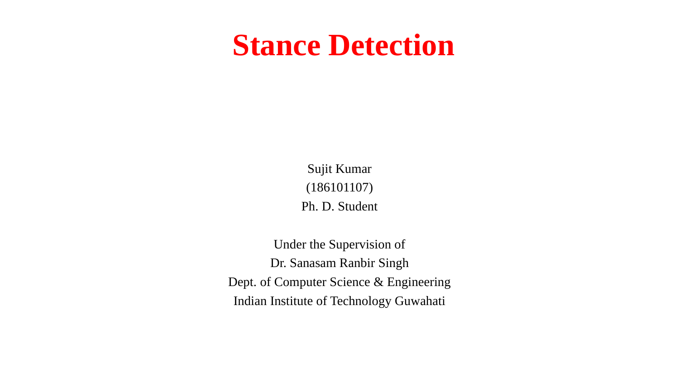### **Stance Detection**

Sujit Kumar (186101107) Ph. D. Student

Under the Supervision of Dr. Sanasam Ranbir Singh Dept. of Computer Science & Engineering Indian Institute of Technology Guwahati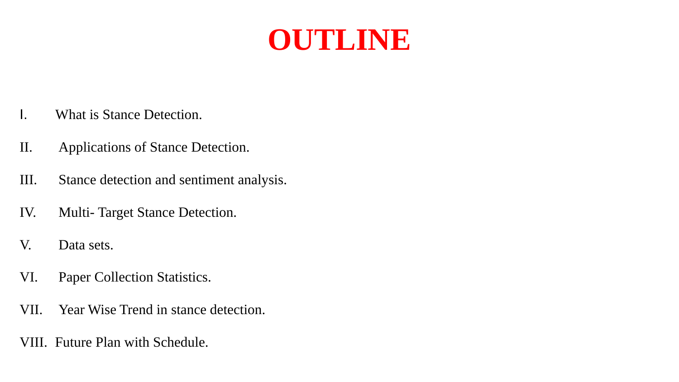### **OUTLINE**

- I. What is Stance Detection.
- II. Applications of Stance Detection.
- III. Stance detection and sentiment analysis.
- IV. Multi- Target Stance Detection.
- V. Data sets.
- VI. Paper Collection Statistics.
- VII. Year Wise Trend in stance detection.
- VIII. Future Plan with Schedule.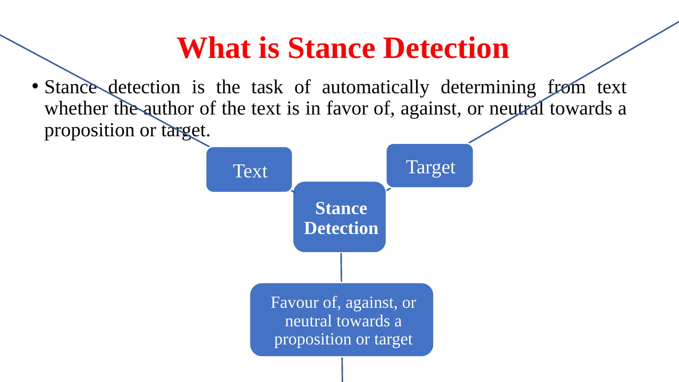### **What is Stance Detection**

• Stance detection is the task of automatically determining from text whether the author of the text is in favor of, against, or neutral towards a proposition or target.

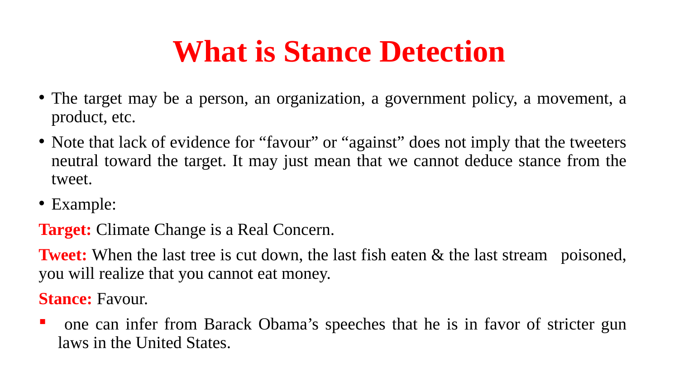### **What is Stance Detection**

- The target may be a person, an organization, a government policy, a movement, a product, etc.
- Note that lack of evidence for "favour" or "against" does not imply that the tweeters neutral toward the target. It may just mean that we cannot deduce stance from the tweet.
- Example:

**Target:** Climate Change is a Real Concern.

**Tweet:** When the last tree is cut down, the last fish eaten & the last stream poisoned, you will realize that you cannot eat money.

**Stance:** Favour.

 one can infer from Barack Obama's speeches that he is in favor of stricter gun laws in the United States.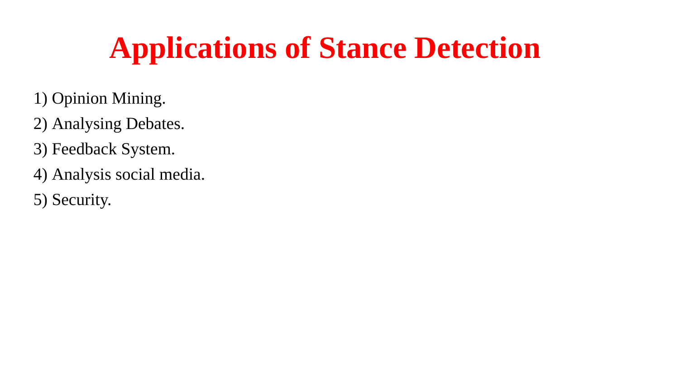## **Applications of Stance Detection**

- 1) Opinion Mining.
- 2) Analysing Debates.
- 3) Feedback System.
- 4) Analysis social media.
- 5) Security.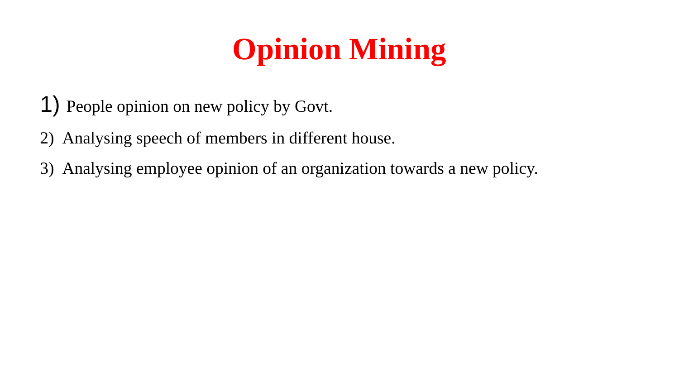# **Opinion Mining**

- 1) People opinion on new policy by Govt.
- 2) Analysing speech of members in different house.
- 3) Analysing employee opinion of an organization towards a new policy.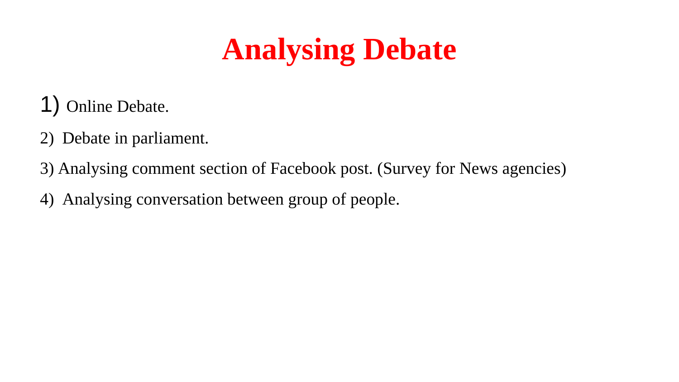# **Analysing Debate**

- 1) Online Debate.
- 2) Debate in parliament.
- 3) Analysing comment section of Facebook post. (Survey for News agencies)
- 4) Analysing conversation between group of people.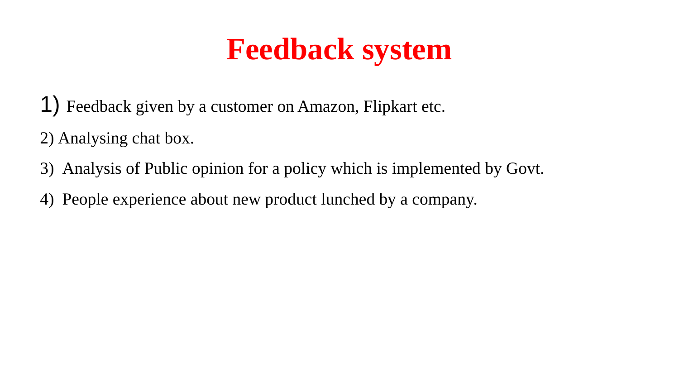### **Feedback system**

- 1) Feedback given by a customer on Amazon, Flipkart etc.
- 2) Analysing chat box.
- 3) Analysis of Public opinion for a policy which is implemented by Govt.
- 4) People experience about new product lunched by a company.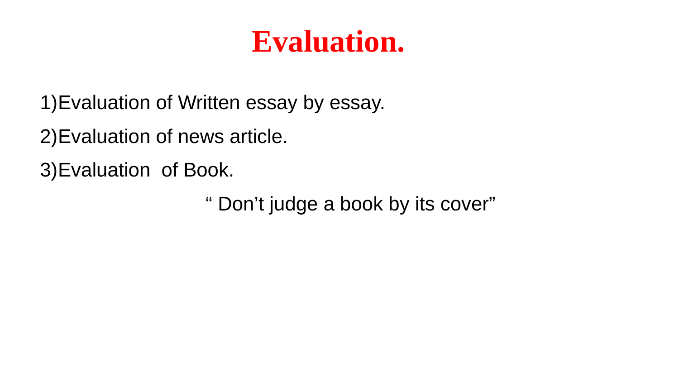### **Evaluation.**

1)Evaluation of Written essay by essay.

2)Evaluation of news article.

3)Evaluation of Book.

" Don't judge a book by its cover"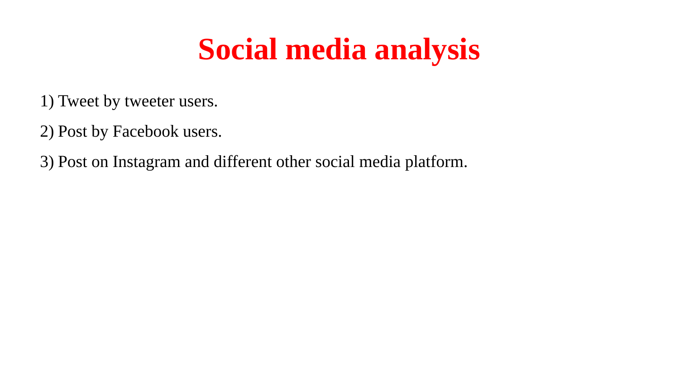### **Social media analysis**

1) Tweet by tweeter users.

2) Post by Facebook users.

3) Post on Instagram and different other social media platform.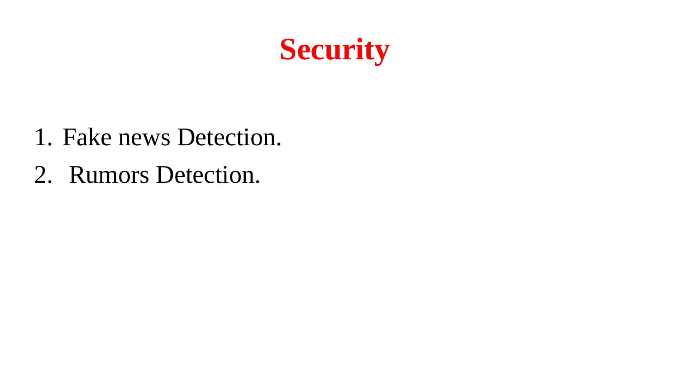

- 1. Fake news Detection.
- 2. Rumors Detection.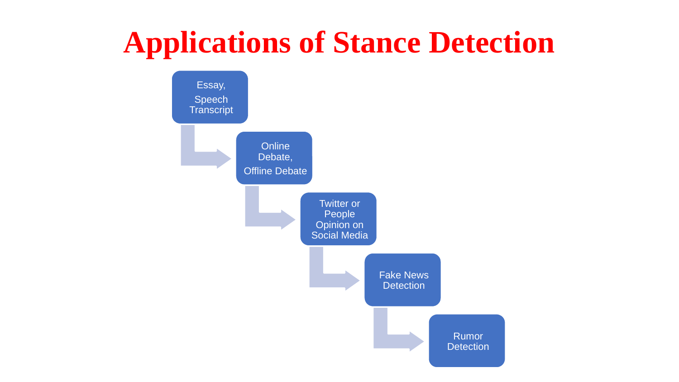## **Applications of Stance Detection**

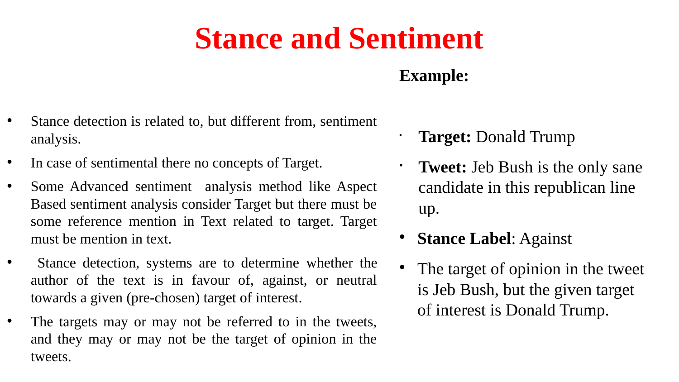### **Stance and Sentiment**

### **Example:**

- Stance detection is related to, but different from, sentiment analysis.
- In case of sentimental there no concepts of Target.
- Some Advanced sentiment analysis method like Aspect Based sentiment analysis consider Target but there must be some reference mention in Text related to target. Target must be mention in text.
- Stance detection, systems are to determine whether the author of the text is in favour of, against, or neutral towards a given (pre-chosen) target of interest.
- The targets may or may not be referred to in the tweets, and they may or may not be the target of opinion in the tweets.
- **Target:** Donald Trump
- **Tweet:** Jeb Bush is the only sane candidate in this republican line up.
- **Stance Label**: Against
- The target of opinion in the tweet is Jeb Bush, but the given target of interest is Donald Trump.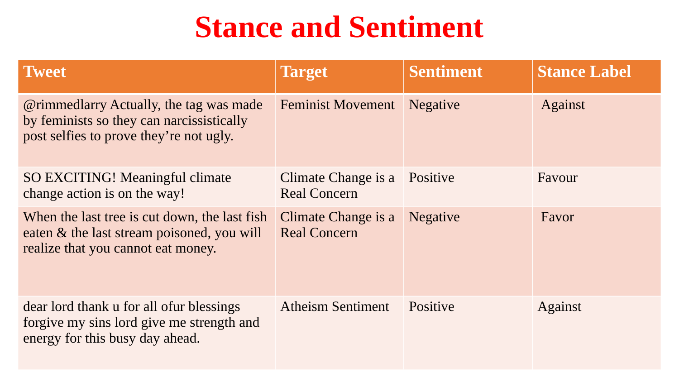### **Stance and Sentiment**

| <b>Tweet</b>                                                                                                                                  | <b>Target</b>                              | <b>Sentiment</b> | <b>Stance Label</b> |
|-----------------------------------------------------------------------------------------------------------------------------------------------|--------------------------------------------|------------------|---------------------|
| <i><b>@rimmedlarry Actually, the tag was made</b></i><br>by feminists so they can narcissistically<br>post selfies to prove they're not ugly. | <b>Feminist Movement</b>                   | <b>Negative</b>  | <b>Against</b>      |
| <b>SO EXCITING! Meaningful climate</b><br>change action is on the way!                                                                        | Climate Change is a<br><b>Real Concern</b> | Positive         | Favour              |
| When the last tree is cut down, the last fish<br>eaten & the last stream poisoned, you will<br>realize that you cannot eat money.             | Climate Change is a<br><b>Real Concern</b> | <b>Negative</b>  | Favor               |
| dear lord thank u for all ofur blessings<br>forgive my sins lord give me strength and<br>energy for this busy day ahead.                      | <b>Atheism Sentiment</b>                   | Positive         | <b>Against</b>      |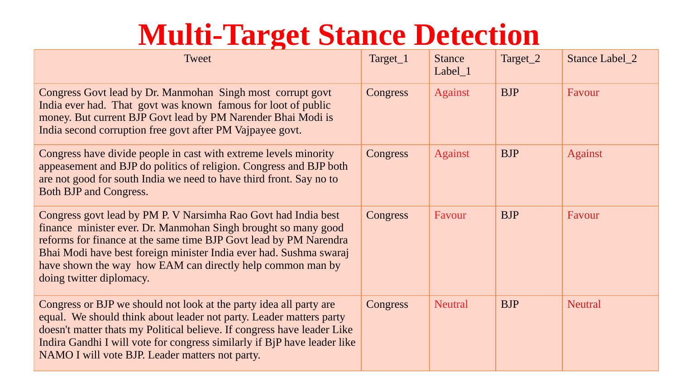### **Multi-Target Stance Detection**

| <b>Tweet</b>                                                                                                                                                                                                                                                                                                                                                          | Target_1        | <b>Stance</b><br>Label 1 | Target_2   | Stance Label_2 |
|-----------------------------------------------------------------------------------------------------------------------------------------------------------------------------------------------------------------------------------------------------------------------------------------------------------------------------------------------------------------------|-----------------|--------------------------|------------|----------------|
| Congress Govt lead by Dr. Manmohan Singh most corrupt govt<br>India ever had. That govt was known famous for loot of public<br>money. But current BJP Govt lead by PM Narender Bhai Modi is<br>India second corruption free govt after PM Vajpayee govt.                                                                                                              | <b>Congress</b> | <b>Against</b>           | <b>BJP</b> | Favour         |
| Congress have divide people in cast with extreme levels minority<br>appeasement and BJP do politics of religion. Congress and BJP both<br>are not good for south India we need to have third front. Say no to<br>Both BJP and Congress.                                                                                                                               | <b>Congress</b> | <b>Against</b>           | <b>BJP</b> | <b>Against</b> |
| Congress govt lead by PM P. V Narsimha Rao Govt had India best<br>finance minister ever. Dr. Manmohan Singh brought so many good<br>reforms for finance at the same time BJP Govt lead by PM Narendra<br>Bhai Modi have best foreign minister India ever had. Sushma swaraj<br>have shown the way how EAM can directly help common man by<br>doing twitter diplomacy. | <b>Congress</b> | Favour                   | <b>BJP</b> | Favour         |
| Congress or BJP we should not look at the party idea all party are<br>equal. We should think about leader not party. Leader matters party<br>doesn't matter thats my Political believe. If congress have leader Like<br>Indira Gandhi I will vote for congress similarly if BjP have leader like<br>NAMO I will vote BJP. Leader matters not party.                   | <b>Congress</b> | <b>Neutral</b>           | <b>BJP</b> | <b>Neutral</b> |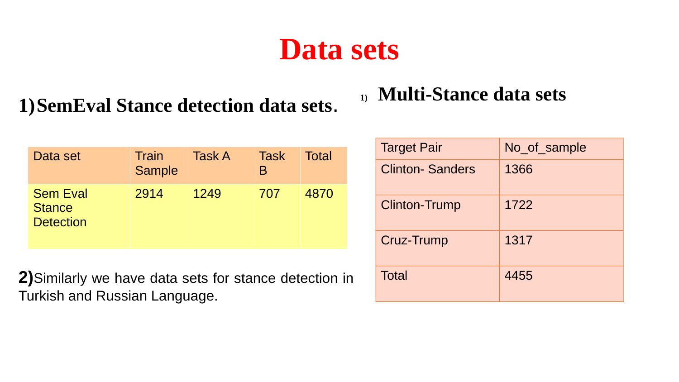### **Data sets**

### **1)SemEval Stance detection data sets**.

| Data set                                             | Train<br><b>Sample</b> | <b>Task A</b> | Task<br>B | <b>Total</b> |
|------------------------------------------------------|------------------------|---------------|-----------|--------------|
| <b>Sem Eval</b><br><b>Stance</b><br><b>Detection</b> | 2914                   | 1249          | 707       | 4870         |

**2)**Similarly we have data sets for stance detection in Turkish and Russian Language.

### **1) Multi-Stance data sets**

| <b>Target Pair</b>     | No of sample |
|------------------------|--------------|
| <b>Clinton-Sanders</b> | 1366         |
| <b>Clinton-Trump</b>   | 1722         |
| Cruz-Trump             | 1317         |
| <b>Total</b>           | 4455         |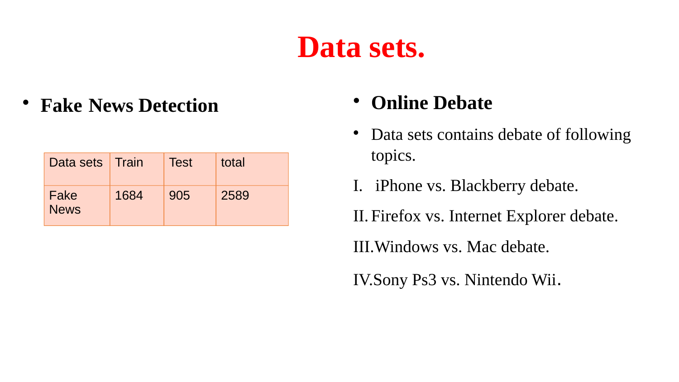### **Data sets.**

**Fake News Detection • Online Debate** 

| Data sets   Train   |      | <b>Test</b> | total |
|---------------------|------|-------------|-------|
| Fake<br><b>News</b> | 1684 | 905         | 2589  |

- Data sets contains debate of following topics.
- I. iPhone vs. Blackberry debate.

II. Firefox vs. Internet Explorer debate.

III.Windows vs. Mac debate.

IV.Sony Ps3 vs. Nintendo Wii.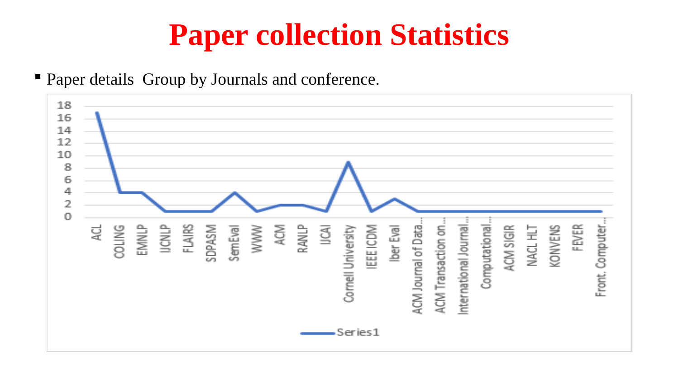# **Paper collection Statistics**